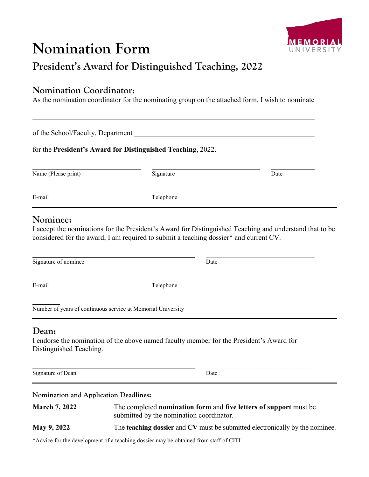# **Nomination Form**



# **President's Award for Distinguished Teaching, 2022**

#### **Nomination Coordinator:**

As the nomination coordinator for the nominating group on the attached form, I wish to nominate

of the School/Faculty, Department

for the **President's Award for Distinguished Teaching**, 2022.

| Name (Please print) | Signature | Date |
|---------------------|-----------|------|
| E-mail              | Telephone |      |

### **Nominee:**

I accept the nominations for the President's Award for Distinguished Teaching and understand that to be considered for the award, I am required to submit a teaching dossier\* and current CV.

Signature of nominee Date

E-mail Telephone

Number of years of continuous service at Memorial University

#### **Dean:**

I endorse the nomination of the above named faculty member for the President's Award for Distinguished Teaching.

Signature of Dean Date

\_\_\_\_\_\_\_\_\_\_\_\_\_\_\_\_\_\_\_\_\_\_\_\_\_\_\_\_\_\_

**Nomination and Application Deadlines:**

| <b>March 7, 2022</b> | The completed nomination form and five letters of support must be<br>submitted by the nomination coordinator. |  |
|----------------------|---------------------------------------------------------------------------------------------------------------|--|
| <b>May 9, 2022</b>   | The <b>teaching dossier</b> and CV must be submitted electronically by the nominee.                           |  |

\*Advice for the development of a teaching dossier may be obtained from staff of CITL.